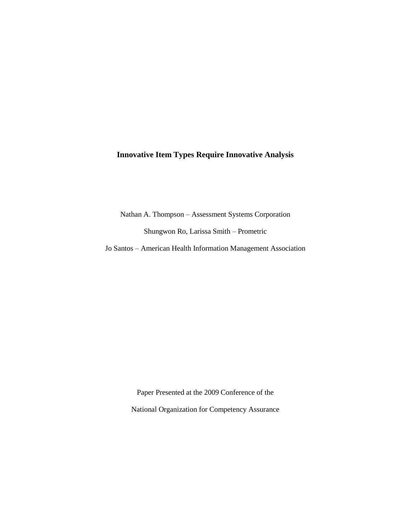# **Innovative Item Types Require Innovative Analysis**

Nathan A. Thompson – Assessment Systems Corporation

Shungwon Ro, Larissa Smith – Prometric

Jo Santos – American Health Information Management Association

Paper Presented at the 2009 Conference of the National Organization for Competency Assurance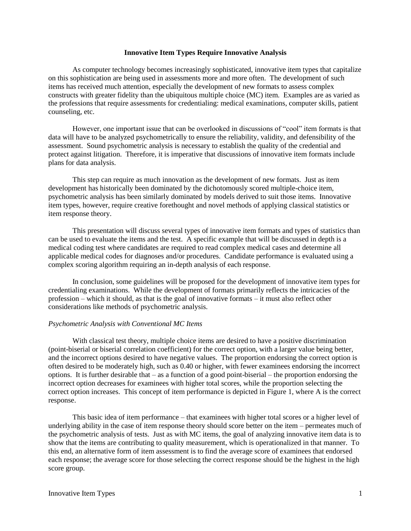### **Innovative Item Types Require Innovative Analysis**

As computer technology becomes increasingly sophisticated, innovative item types that capitalize on this sophistication are being used in assessments more and more often. The development of such items has received much attention, especially the development of new formats to assess complex constructs with greater fidelity than the ubiquitous multiple choice (MC) item. Examples are as varied as the professions that require assessments for credentialing: medical examinations, computer skills, patient counseling, etc.

However, one important issue that can be overlooked in discussions of "cool" item formats is that data will have to be analyzed psychometrically to ensure the reliability, validity, and defensibility of the assessment. Sound psychometric analysis is necessary to establish the quality of the credential and protect against litigation. Therefore, it is imperative that discussions of innovative item formats include plans for data analysis.

This step can require as much innovation as the development of new formats. Just as item development has historically been dominated by the dichotomously scored multiple-choice item, psychometric analysis has been similarly dominated by models derived to suit those items. Innovative item types, however, require creative forethought and novel methods of applying classical statistics or item response theory.

This presentation will discuss several types of innovative item formats and types of statistics than can be used to evaluate the items and the test. A specific example that will be discussed in depth is a medical coding test where candidates are required to read complex medical cases and determine all applicable medical codes for diagnoses and/or procedures. Candidate performance is evaluated using a complex scoring algorithm requiring an in-depth analysis of each response.

In conclusion, some guidelines will be proposed for the development of innovative item types for credentialing examinations. While the development of formats primarily reflects the intricacies of the profession – which it should, as that is the goal of innovative formats – it must also reflect other considerations like methods of psychometric analysis.

### *Psychometric Analysis with Conventional MC Items*

With classical test theory, multiple choice items are desired to have a positive discrimination (point-biserial or biserial correlation coefficient) for the correct option, with a larger value being better, and the incorrect options desired to have negative values. The proportion endorsing the correct option is often desired to be moderately high, such as 0.40 or higher, with fewer examinees endorsing the incorrect options. It is further desirable that – as a function of a good point-biserial – the proportion endorsing the incorrect option decreases for examinees with higher total scores, while the proportion selecting the correct option increases. This concept of item performance is depicted in Figure 1, where A is the correct response.

This basic idea of item performance – that examinees with higher total scores or a higher level of underlying ability in the case of item response theory should score better on the item – permeates much of the psychometric analysis of tests. Just as with MC items, the goal of analyzing innovative item data is to show that the items are contributing to quality measurement, which is operationalized in that manner. To this end, an alternative form of item assessment is to find the average score of examinees that endorsed each response; the average score for those selecting the correct response should be the highest in the high score group.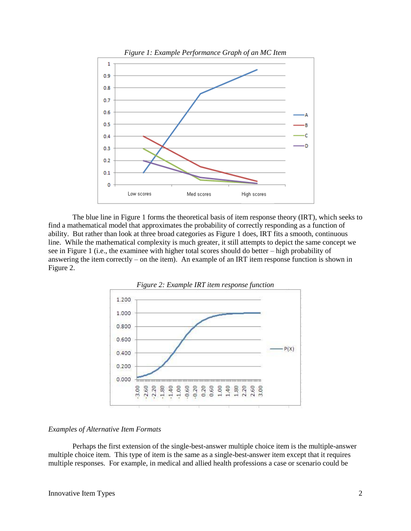

The blue line in Figure 1 forms the theoretical basis of item response theory (IRT), which seeks to find a mathematical model that approximates the probability of correctly responding as a function of ability. But rather than look at three broad categories as Figure 1 does, IRT fits a smooth, continuous line. While the mathematical complexity is much greater, it still attempts to depict the same concept we see in Figure 1 (i.e., the examinee with higher total scores should do better – high probability of answering the item correctly – on the item). An example of an IRT item response function is shown in Figure 2.



### *Examples of Alternative Item Formats*

Perhaps the first extension of the single-best-answer multiple choice item is the multiple-answer multiple choice item. This type of item is the same as a single-best-answer item except that it requires multiple responses. For example, in medical and allied health professions a case or scenario could be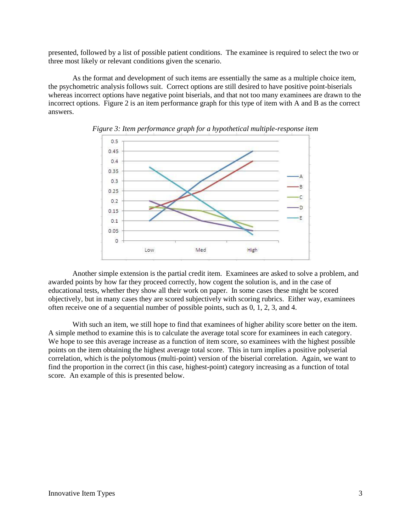presented, followed by a list of possible patient conditions. The examinee is required to select the two or three most likely or relevant conditions given the scenario.

As the format and development of such items are essentially the same as a multiple choice item, the psychometric analysis follows suit. Correct options are still desired to have positive point-biserials whereas incorrect options have negative point biserials, and that not too many examinees are drawn to the incorrect options. Figure 2 is an item performance graph for this type of item with A and B as the correct answers.





Another simple extension is the partial credit item. Examinees are asked to solve a problem, and awarded points by how far they proceed correctly, how cogent the solution is, and in the case of educational tests, whether they show all their work on paper. In some cases these might be scored objectively, but in many cases they are scored subjectively with scoring rubrics. Either way, examinees often receive one of a sequential number of possible points, such as 0, 1, 2, 3, and 4.

With such an item, we still hope to find that examinees of higher ability score better on the item. A simple method to examine this is to calculate the average total score for examinees in each category. We hope to see this average increase as a function of item score, so examinees with the highest possible points on the item obtaining the highest average total score. This in turn implies a positive polyserial correlation, which is the polytomous (multi-point) version of the biserial correlation. Again, we want to find the proportion in the correct (in this case, highest-point) category increasing as a function of total score. An example of this is presented below.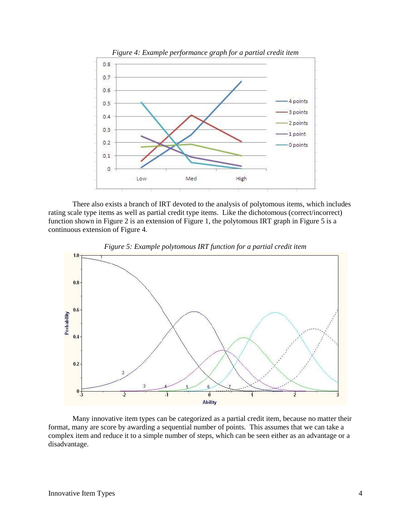

There also exists a branch of IRT devoted to the analysis of polytomous items, which includes rating scale type items as well as partial credit type items. Like the dichotomous (correct/incorrect) function shown in Figure 2 is an extension of Figure 1, the polytomous IRT graph in Figure 5 is a continuous extension of Figure 4.





Many innovative item types can be categorized as a partial credit item, because no matter their format, many are score by awarding a sequential number of points. This assumes that we can take a complex item and reduce it to a simple number of steps, which can be seen either as an advantage or a disadvantage.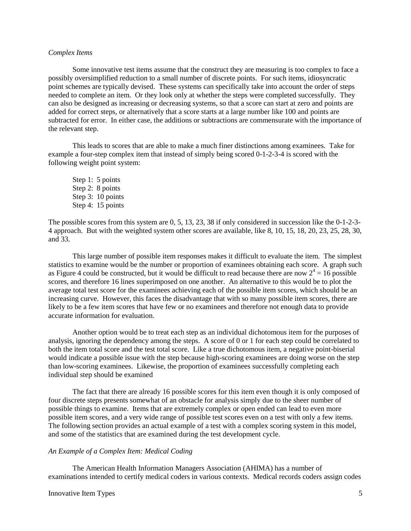### *Complex Items*

Some innovative test items assume that the construct they are measuring is too complex to face a possibly oversimplified reduction to a small number of discrete points. For such items, idiosyncratic point schemes are typically devised. These systems can specifically take into account the order of steps needed to complete an item. Or they look only at whether the steps were completed successfully. They can also be designed as increasing or decreasing systems, so that a score can start at zero and points are added for correct steps, or alternatively that a score starts at a large number like 100 and points are subtracted for error. In either case, the additions or subtractions are commensurate with the importance of the relevant step.

This leads to scores that are able to make a much finer distinctions among examinees. Take for example a four-step complex item that instead of simply being scored 0-1-2-3-4 is scored with the following weight point system:

Step 1: 5 points Step 2: 8 points Step 3: 10 points Step 4: 15 points

The possible scores from this system are 0, 5, 13, 23, 38 if only considered in succession like the 0-1-2-3- 4 approach. But with the weighted system other scores are available, like 8, 10, 15, 18, 20, 23, 25, 28, 30, and 33.

This large number of possible item responses makes it difficult to evaluate the item. The simplest statistics to examine would be the number or proportion of examinees obtaining each score. A graph such as Figure 4 could be constructed, but it would be difficult to read because there are now  $2^4 = 16$  possible scores, and therefore 16 lines superimposed on one another. An alternative to this would be to plot the average total test score for the examinees achieving each of the possible item scores, which should be an increasing curve. However, this faces the disadvantage that with so many possible item scores, there are likely to be a few item scores that have few or no examinees and therefore not enough data to provide accurate information for evaluation.

Another option would be to treat each step as an individual dichotomous item for the purposes of analysis, ignoring the dependency among the steps. A score of 0 or 1 for each step could be correlated to both the item total score and the test total score. Like a true dichotomous item, a negative point-biserial would indicate a possible issue with the step because high-scoring examinees are doing worse on the step than low-scoring examinees. Likewise, the proportion of examinees successfully completing each individual step should be examined

The fact that there are already 16 possible scores for this item even though it is only composed of four discrete steps presents somewhat of an obstacle for analysis simply due to the sheer number of possible things to examine. Items that are extremely complex or open ended can lead to even more possible item scores, and a very wide range of possible test scores even on a test with only a few items. The following section provides an actual example of a test with a complex scoring system in this model, and some of the statistics that are examined during the test development cycle.

# *An Example of a Complex Item: Medical Coding*

The American Health Information Managers Association (AHIMA) has a number of examinations intended to certify medical coders in various contexts. Medical records coders assign codes

#### Innovative Item Types 5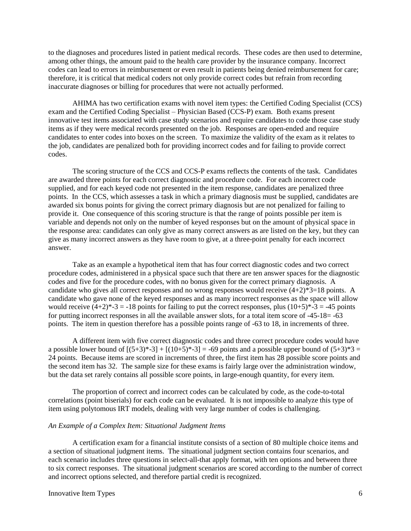to the diagnoses and procedures listed in patient medical records. These codes are then used to determine, among other things, the amount paid to the health care provider by the insurance company. Incorrect codes can lead to errors in reimbursement or even result in patients being denied reimbursement for care; therefore, it is critical that medical coders not only provide correct codes but refrain from recording inaccurate diagnoses or billing for procedures that were not actually performed.

AHIMA has two certification exams with novel item types: the Certified Coding Specialist (CCS) exam and the Certified Coding Specialist – Physician Based (CCS-P) exam. Both exams present innovative test items associated with case study scenarios and require candidates to code those case study items as if they were medical records presented on the job. Responses are open-ended and require candidates to enter codes into boxes on the screen. To maximize the validity of the exam as it relates to the job, candidates are penalized both for providing incorrect codes and for failing to provide correct codes.

The scoring structure of the CCS and CCS-P exams reflects the contents of the task. Candidates are awarded three points for each correct diagnostic and procedure code. For each incorrect code supplied, and for each keyed code not presented in the item response, candidates are penalized three points. In the CCS, which assesses a task in which a primary diagnosis must be supplied, candidates are awarded six bonus points for giving the correct primary diagnosis but are not penalized for failing to provide it. One consequence of this scoring structure is that the range of points possible per item is variable and depends not only on the number of keyed responses but on the amount of physical space in the response area: candidates can only give as many correct answers as are listed on the key, but they can give as many incorrect answers as they have room to give, at a three-point penalty for each incorrect answer.

Take as an example a hypothetical item that has four correct diagnostic codes and two correct procedure codes, administered in a physical space such that there are ten answer spaces for the diagnostic codes and five for the procedure codes, with no bonus given for the correct primary diagnosis. A candidate who gives all correct responses and no wrong responses would receive  $(4+2)*3=18$  points. A candidate who gave none of the keyed responses and as many incorrect responses as the space will allow would receive  $(4+2)^*-3 = -18$  points for failing to put the correct responses, plus  $(10+5)^*-3 = -45$  points for putting incorrect responses in all the available answer slots, for a total item score of -45-18= -63 points. The item in question therefore has a possible points range of -63 to 18, in increments of three.

A different item with five correct diagnostic codes and three correct procedure codes would have a possible lower bound of  $[(5+3)*-3] + [(10+5)*-3] = -69$  points and a possible upper bound of  $(5+3)*3 =$ 24 points. Because items are scored in increments of three, the first item has 28 possible score points and the second item has 32. The sample size for these exams is fairly large over the administration window, but the data set rarely contains all possible score points, in large-enough quantity, for every item.

The proportion of correct and incorrect codes can be calculated by code, as the code-to-total correlations (point biserials) for each code can be evaluated. It is not impossible to analyze this type of item using polytomous IRT models, dealing with very large number of codes is challenging.

### *An Example of a Complex Item: Situational Judgment Items*

A certification exam for a financial institute consists of a section of 80 multiple choice items and a section of situational judgment items. The situational judgment section contains four scenarios, and each scenario includes three questions in select-all-that apply format, with ten options and between three to six correct responses. The situational judgment scenarios are scored according to the number of correct and incorrect options selected, and therefore partial credit is recognized.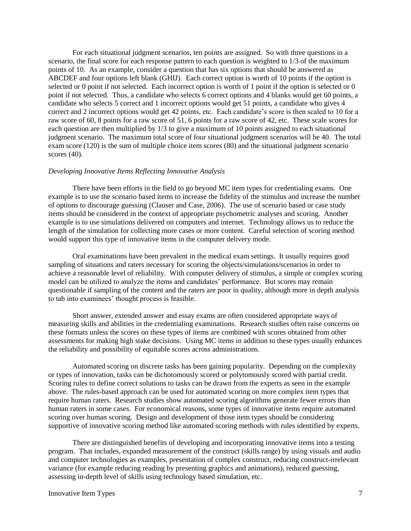For each situational judgment scenarios, ten points are assigned. So with three questions in a scenario, the final score for each response pattern to each question is weighted to 1/3 of the maximum points of 10. As an example, consider a question that has six options that should be answered as ABCDEF and four options left blank (GHIJ). Each correct option is worth of 10 points if the option is selected or 0 point if not selected. Each incorrect option is worth of 1 point if the option is selected or 0 point if not selected. Thus, a candidate who selects 6 correct options and 4 blanks would get 60 points, a candidate who selects 5 correct and 1 incorrect options would get 51 points, a candidate who gives 4 correct and 2 incorrect options would get 42 points, etc. Each candidate's score is then scaled to 10 for a raw score of 60, 8 points for a raw score of 51, 6 points for a raw score of 42, etc. These scale scores for each question are then multiplied by 1/3 to give a maximum of 10 points assigned to each situational judgment scenario. The maximum total score of four situational judgment scenarios will be 40. The total exam score (120) is the sum of multiple choice item scores (80) and the situational judgment scenario scores (40).

#### *Developing Innovative Items Reflecting Innovative Analysis*

There have been efforts in the field to go beyond MC item types for credentialing exams. One example is to use the scenario based items to increase the fidelity of the stimulus and increase the number of options to discourage guessing (Clauser and Case, 2006). The use of scenario based or case study items should be considered in the context of appropriate psychometric analyses and scoring. Another example is to use simulations delivered on computers and internet. Technology allows us to reduce the length of the simulation for collecting more cases or more content. Careful selection of scoring method would support this type of innovative items in the computer delivery mode.

Oral examinations have been prevalent in the medical exam settings. It usually requires good sampling of situations and raters necessary for scoring the objects/simulations/scenarios in order to achieve a reasonable level of reliability. With computer delivery of stimulus, a simple or complex scoring model can be utilized to analyze the items and candidates' performance. But scores may remain questionable if sampling of the content and the raters are poor in quality, although more in depth analysis to tab into examinees' thought process is feasible.

Short answer, extended answer and essay exams are often considered appropriate ways of measuring skills and abilities in the credentialing examinations. Research studies often raise concerns on these formats unless the scores on these types of items are combined with scores obtained from other assessments for making high stake decisions. Using MC items in addition to these types usually enhances the reliability and possibility of equitable scores across administrations.

Automated scoring on discrete tasks has been gaining popularity. Depending on the complexity or types of innovation, tasks can be dichotomously scored or polytomously scored with partial credit. Scoring rules to define correct solutions to tasks can be drawn from the experts as seen in the example above. The rules-based approach can be used for automated scoring on more complex item types that require human raters. Research studies show automated scoring algorithms generate fewer errors than human raters in some cases. For economical reasons, some types of innovative items require automated scoring over human scoring. Design and development of those item types should be considering supportive of innovative scoring method like automated scoring methods with rules identified by experts.

There are distinguished benefits of developing and incorporating innovative items into a testing program. That includes, expanded measurement of the construct (skills range) by using visuals and audio and computer technologies as examples, presentation of complex construct, reducing construct-irrelevant variance (for example reducing reading by presenting graphics and animations), reduced guessing, assessing in-depth level of skills using technology based simulation, etc.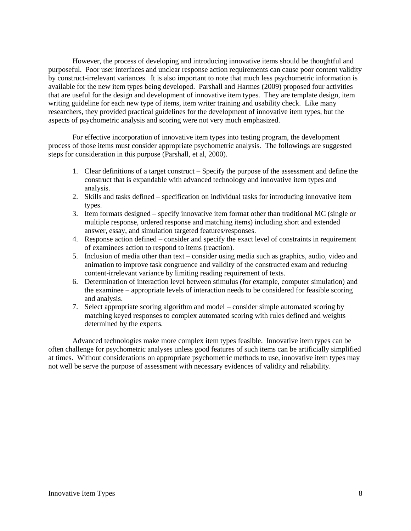However, the process of developing and introducing innovative items should be thoughtful and purposeful. Poor user interfaces and unclear response action requirements can cause poor content validity by construct-irrelevant variances. It is also important to note that much less psychometric information is available for the new item types being developed. Parshall and Harmes (2009) proposed four activities that are useful for the design and development of innovative item types. They are template design, item writing guideline for each new type of items, item writer training and usability check. Like many researchers, they provided practical guidelines for the development of innovative item types, but the aspects of psychometric analysis and scoring were not very much emphasized.

For effective incorporation of innovative item types into testing program, the development process of those items must consider appropriate psychometric analysis. The followings are suggested steps for consideration in this purpose (Parshall, et al, 2000).

- 1. Clear definitions of a target construct Specify the purpose of the assessment and define the construct that is expandable with advanced technology and innovative item types and analysis.
- 2. Skills and tasks defined specification on individual tasks for introducing innovative item types.
- 3. Item formats designed specify innovative item format other than traditional MC (single or multiple response, ordered response and matching items) including short and extended answer, essay, and simulation targeted features/responses.
- 4. Response action defined consider and specify the exact level of constraints in requirement of examinees action to respond to items (reaction).
- 5. Inclusion of media other than text consider using media such as graphics, audio, video and animation to improve task congruence and validity of the constructed exam and reducing content-irrelevant variance by limiting reading requirement of texts.
- 6. Determination of interaction level between stimulus (for example, computer simulation) and the examinee – appropriate levels of interaction needs to be considered for feasible scoring and analysis.
- 7. Select appropriate scoring algorithm and model consider simple automated scoring by matching keyed responses to complex automated scoring with rules defined and weights determined by the experts.

Advanced technologies make more complex item types feasible. Innovative item types can be often challenge for psychometric analyses unless good features of such items can be artificially simplified at times. Without considerations on appropriate psychometric methods to use, innovative item types may not well be serve the purpose of assessment with necessary evidences of validity and reliability.